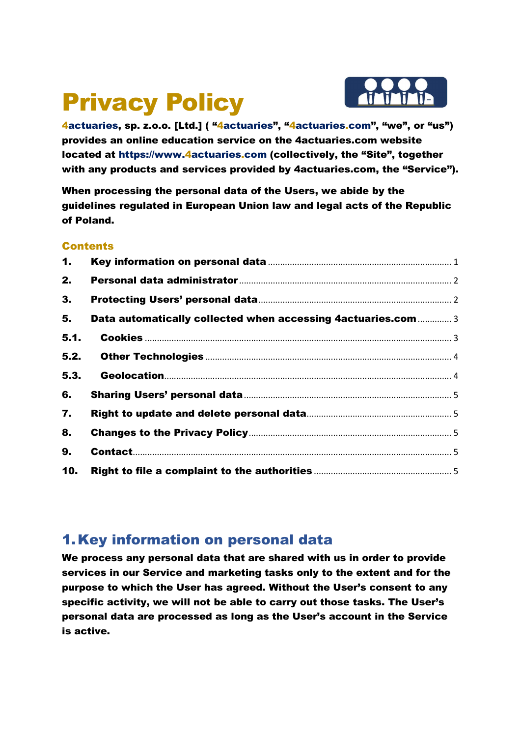# Privacy Policy



4actuaries, sp. z.o.o. [Ltd.] ( "4actuaries", "4actuaries.com", "we", or "us") provides an online education service on the 4actuaries.com website located at https://www.4actuaries.com (collectively, the "Site", together with any products and services provided by 4actuaries.com, the "Service").

When processing the personal data of the Users, we abide by the guidelines regulated in European Union law and legal acts of the Republic of Poland.

#### Contents

| 1.   |                                                               |  |
|------|---------------------------------------------------------------|--|
| 2.   |                                                               |  |
| 3.   |                                                               |  |
| 5.   | Data automatically collected when accessing 4actuaries.com  3 |  |
| 5.1. |                                                               |  |
| 5.2. |                                                               |  |
| 5.3. |                                                               |  |
| 6.   |                                                               |  |
| 7.   |                                                               |  |
| 8.   |                                                               |  |
| 9.   |                                                               |  |
| 10.  |                                                               |  |

#### 1.Key information on personal data

We process any personal data that are shared with us in order to provide services in our Service and marketing tasks only to the extent and for the purpose to which the User has agreed. Without the User's consent to any specific activity, we will not be able to carry out those tasks. The User's personal data are processed as long as the User's account in the Service is active.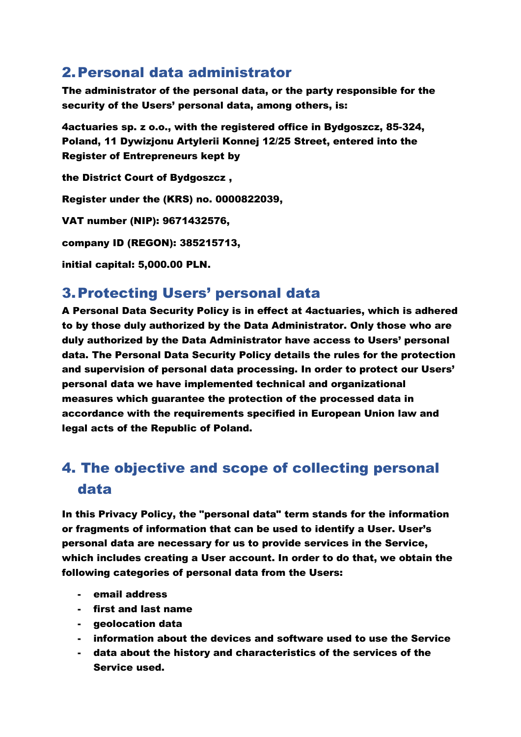#### 2.Personal data administrator

The administrator of the personal data, or the party responsible for the security of the Users' personal data, among others, is:

4actuaries sp. z o.o., with the registered office in Bydgoszcz, 85-324, Poland, 11 Dywizjonu Artylerii Konnej 12/25 Street, entered into the Register of Entrepreneurs kept by

the District Court of Bydgoszcz ,

Register under the (KRS) no. 0000822039,

VAT number (NIP): 9671432576,

company ID (REGON): 385215713,

initial capital: 5,000.00 PLN.

#### 3.Protecting Users' personal data

A Personal Data Security Policy is in effect at 4actuaries, which is adhered to by those duly authorized by the Data Administrator. Only those who are duly authorized by the Data Administrator have access to Users' personal data. The Personal Data Security Policy details the rules for the protection and supervision of personal data processing. In order to protect our Users' personal data we have implemented technical and organizational measures which guarantee the protection of the processed data in accordance with the requirements specified in European Union law and legal acts of the Republic of Poland.

# 4. The objective and scope of collecting personal data

In this Privacy Policy, the "personal data" term stands for the information or fragments of information that can be used to identify a User. User's personal data are necessary for us to provide services in the Service, which includes creating a User account. In order to do that, we obtain the following categories of personal data from the Users:

- email address
- first and last name
- geolocation data
- information about the devices and software used to use the Service
- data about the history and characteristics of the services of the Service used.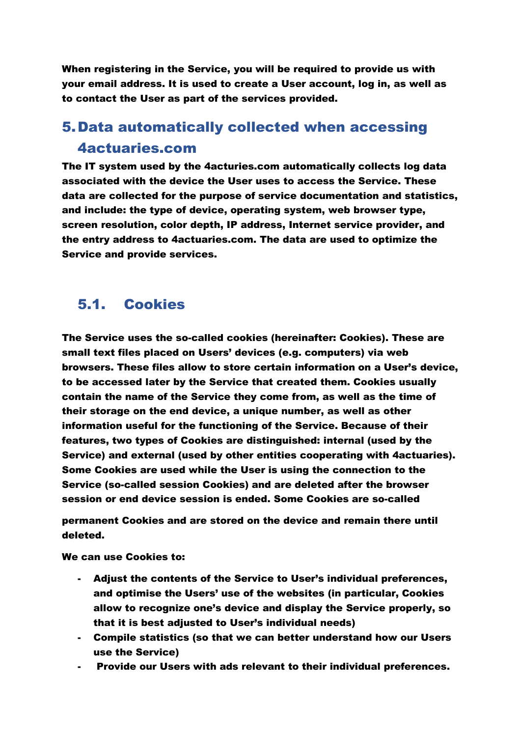When registering in the Service, you will be required to provide us with your email address. It is used to create a User account, log in, as well as to contact the User as part of the services provided.

## 5.Data automatically collected when accessing 4actuaries.com

The IT system used by the 4acturies.com automatically collects log data associated with the device the User uses to access the Service. These data are collected for the purpose of service documentation and statistics, and include: the type of device, operating system, web browser type, screen resolution, color depth, IP address, Internet service provider, and the entry address to 4actuaries.com. The data are used to optimize the Service and provide services.

#### 5.1. Cookies

The Service uses the so-called cookies (hereinafter: Cookies). These are small text files placed on Users' devices (e.g. computers) via web browsers. These files allow to store certain information on a User's device, to be accessed later by the Service that created them. Cookies usually contain the name of the Service they come from, as well as the time of their storage on the end device, a unique number, as well as other information useful for the functioning of the Service. Because of their features, two types of Cookies are distinguished: internal (used by the Service) and external (used by other entities cooperating with 4actuaries). Some Cookies are used while the User is using the connection to the Service (so-called session Cookies) and are deleted after the browser session or end device session is ended. Some Cookies are so-called

permanent Cookies and are stored on the device and remain there until deleted.

We can use Cookies to:

- Adjust the contents of the Service to User's individual preferences, and optimise the Users' use of the websites (in particular, Cookies allow to recognize one's device and display the Service properly, so that it is best adjusted to User's individual needs)
- Compile statistics (so that we can better understand how our Users use the Service)
- Provide our Users with ads relevant to their individual preferences.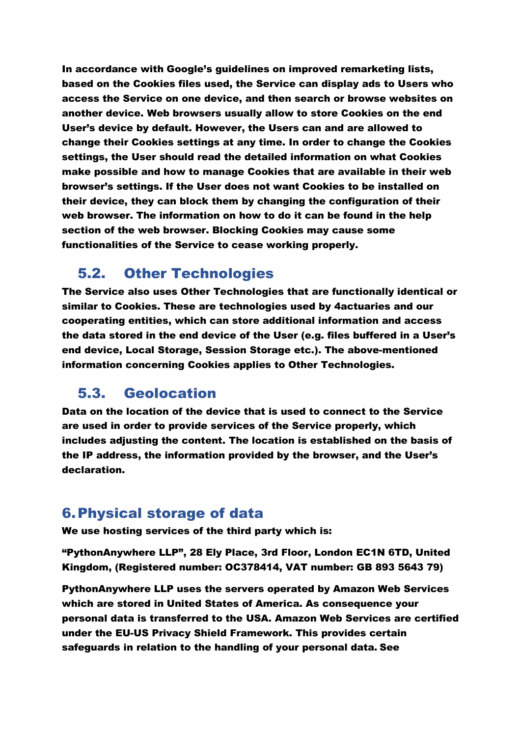In accordance with Google's guidelines on improved remarketing lists, based on the Cookies files used, the Service can display ads to Users who access the Service on one device, and then search or browse websites on another device. Web browsers usually allow to store Cookies on the end User's device by default. However, the Users can and are allowed to change their Cookies settings at any time. In order to change the Cookies settings, the User should read the detailed information on what Cookies make possible and how to manage Cookies that are available in their web browser's settings. If the User does not want Cookies to be installed on their device, they can block them by changing the configuration of their web browser. The information on how to do it can be found in the help section of the web browser. Blocking Cookies may cause some functionalities of the Service to cease working properly.

#### 5.2. Other Technologies

The Service also uses Other Technologies that are functionally identical or similar to Cookies. These are technologies used by 4actuaries and our cooperating entities, which can store additional information and access the data stored in the end device of the User (e.g. files buffered in a User's end device, Local Storage, Session Storage etc.). The above-mentioned information concerning Cookies applies to Other Technologies.

#### 5.3. Geolocation

Data on the location of the device that is used to connect to the Service are used in order to provide services of the Service properly, which includes adjusting the content. The location is established on the basis of the IP address, the information provided by the browser, and the User's declaration.

#### 6.Physical storage of data

We use hosting services of the third party which is:

"PythonAnywhere LLP", 28 Ely Place, 3rd Floor, London EC1N 6TD, United Kingdom, (Registered number: OC378414, VAT number: GB 893 5643 79)

PythonAnywhere LLP uses the servers operated by Amazon Web Services which are stored in United States of America. As consequence your personal data is transferred to the USA. Amazon Web Services are certified under the EU-US Privacy Shield Framework. This provides certain safeguards in relation to the handling of your personal data. See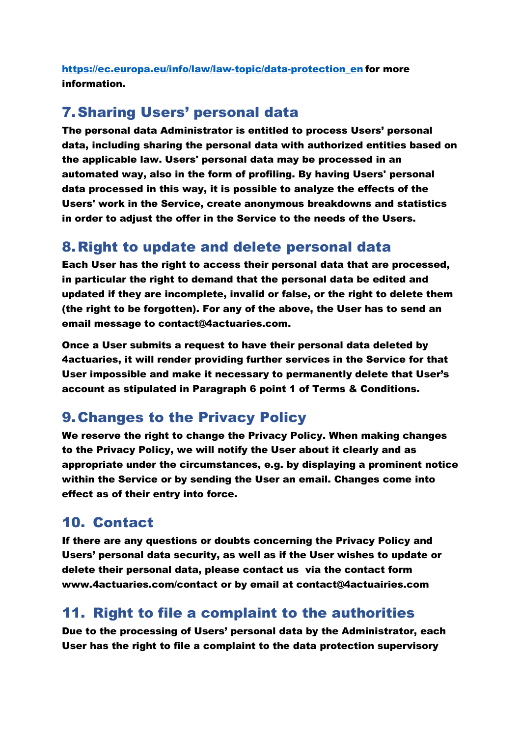https://ec.europa.eu/info/law/law-topic/data-protection\_en for more information.

### 7.Sharing Users' personal data

The personal data Administrator is entitled to process Users' personal data, including sharing the personal data with authorized entities based on the applicable law. Users' personal data may be processed in an automated way, also in the form of profiling. By having Users' personal data processed in this way, it is possible to analyze the effects of the Users' work in the Service, create anonymous breakdowns and statistics in order to adjust the offer in the Service to the needs of the Users.

#### 8.Right to update and delete personal data

Each User has the right to access their personal data that are processed, in particular the right to demand that the personal data be edited and updated if they are incomplete, invalid or false, or the right to delete them (the right to be forgotten). For any of the above, the User has to send an email message to contact@4actuaries.com.

Once a User submits a request to have their personal data deleted by 4actuaries, it will render providing further services in the Service for that User impossible and make it necessary to permanently delete that User's account as stipulated in Paragraph 6 point 1 of Terms & Conditions.

#### 9.Changes to the Privacy Policy

We reserve the right to change the Privacy Policy. When making changes to the Privacy Policy, we will notify the User about it clearly and as appropriate under the circumstances, e.g. by displaying a prominent notice within the Service or by sending the User an email. Changes come into effect as of their entry into force.

#### 10. Contact

If there are any questions or doubts concerning the Privacy Policy and Users' personal data security, as well as if the User wishes to update or delete their personal data, please contact us via the contact form www.4actuaries.com/contact or by email at contact@4actuairies.com

#### 11. Right to file a complaint to the authorities

Due to the processing of Users' personal data by the Administrator, each User has the right to file a complaint to the data protection supervisory